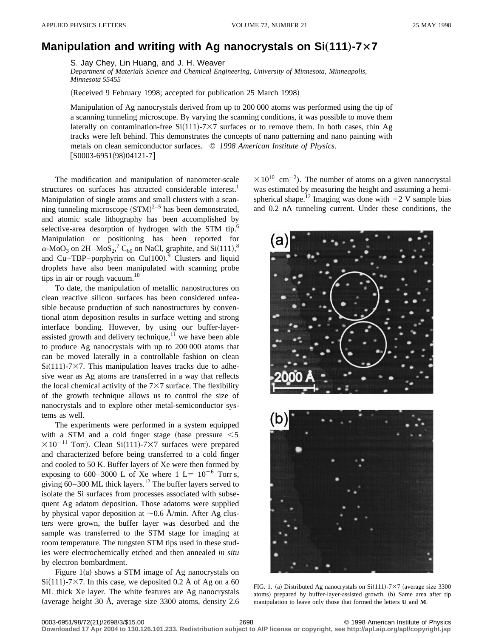## **Manipulation and writing with Ag nanocrystals on Si(111)-7×7**

S. Jay Chey, Lin Huang, and J. H. Weaver

*Department of Materials Science and Chemical Engineering, University of Minnesota, Minneapolis, Minnesota 55455*

(Received 9 February 1998; accepted for publication 25 March 1998)

Manipulation of Ag nanocrystals derived from up to 200 000 atoms was performed using the tip of a scanning tunneling microscope. By varying the scanning conditions, it was possible to move them laterally on contamination-free  $Si(111)-7\times7$  surfaces or to remove them. In both cases, thin Ag tracks were left behind. This demonstrates the concepts of nano patterning and nano painting with metals on clean semiconductor surfaces. © *1998 American Institute of Physics.*  $[50003-6951(98)04121-7]$ 

The modification and manipulation of nanometer-scale structures on surfaces has attracted considerable interest.<sup>1</sup> Manipulation of single atoms and small clusters with a scanning tunneling microscope  $(STM)^{2-5}$  has been demonstrated, and atomic scale lithography has been accomplished by selective-area desorption of hydrogen with the STM tip.<sup>6</sup> Manipulation or positioning has been reported for  $\alpha$ -MoO<sub>3</sub> on 2H–MoS<sub>2</sub>,<sup>7</sup> C<sub>60</sub> on NaCl, graphite, and Si(111),<sup>8</sup> and Cu–TBP–porphyrin on Cu(100).<sup>9</sup> Clusters and liquid droplets have also been manipulated with scanning probe tips in air or rough vacuum. $10$ 

To date, the manipulation of metallic nanostructures on clean reactive silicon surfaces has been considered unfeasible because production of such nanostructures by conventional atom deposition results in surface wetting and strong interface bonding. However, by using our buffer-layerassisted growth and delivery technique, $1\overline{1}$  we have been able to produce Ag nanocrystals with up to 200 000 atoms that can be moved laterally in a controllable fashion on clean  $Si(111)$ -7×7. This manipulation leaves tracks due to adhesive wear as Ag atoms are transferred in a way that reflects the local chemical activity of the  $7\times7$  surface. The flexibility of the growth technique allows us to control the size of nanocrystals and to explore other metal-semiconductor systems as well.

The experiments were performed in a system equipped with a STM and a cold finger stage (base pressure  $\leq 5$ )  $\times 10^{-11}$  Torr). Clean Si(111)-7×7 surfaces were prepared and characterized before being transferred to a cold finger and cooled to 50 K. Buffer layers of Xe were then formed by exposing to 600–3000 L of Xe where  $1 \text{ L} = 10^{-6}$  Torr s, giving  $60-300$  ML thick layers.<sup>12</sup> The buffer layers served to isolate the Si surfaces from processes associated with subsequent Ag adatom deposition. Those adatoms were supplied by physical vapor deposition at  $\sim$ 0.6 Å/min. After Ag clusters were grown, the buffer layer was desorbed and the sample was transferred to the STM stage for imaging at room temperature. The tungsten STM tips used in these studies were electrochemically etched and then annealed *in situ* by electron bombardment.

Figure  $1(a)$  shows a STM image of Ag nanocrystals on  $Si(111)$ -7×7. In this case, we deposited 0.2 Å of Ag on a 60 ML thick Xe layer. The white features are Ag nanocrystals (average height 30 Å, average size  $3300$  atoms, density 2.6

 $\times 10^{10}$  cm<sup>-2</sup>). The number of atoms on a given nanocrystal was estimated by measuring the height and assuming a hemispherical shape.<sup>12</sup> Imaging was done with  $+2$  V sample bias and 0.2 nA tunneling current. Under these conditions, the



FIG. 1. (a) Distributed Ag nanocrystals on  $Si(111)$ -7×7 (average size 3300 atoms) prepared by buffer-layer-assisted growth. (b) Same area after tip manipulation to leave only those that formed the letters **U** and **M**.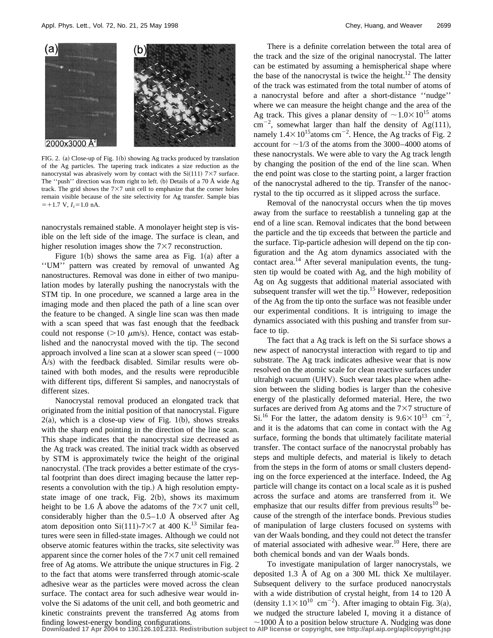

FIG. 2. (a) Close-up of Fig.  $1(b)$  showing Ag tracks produced by translation of the Ag particles. The tapering track indicates a size reduction as the nanocrystal was abrasively worn by contact with the  $Si(111)$  7×7 surface. The "push" direction was from right to left.  $(b)$  Details of a 70 Å wide Ag track. The grid shows the  $7\times7$  unit cell to emphasize that the corner holes remain visible because of the site selectivity for Ag transfer. Sample bias  $=+1.7$  V,  $I_t=1.0$  nA.

nanocrystals remained stable. A monolayer height step is visible on the left side of the image. The surface is clean, and higher resolution images show the  $7\times7$  reconstruction.

Figure 1(b) shows the same area as Fig. 1(a) after a ''UM'' pattern was created by removal of unwanted Ag nanostructures. Removal was done in either of two manipulation modes by laterally pushing the nanocrystals with the STM tip. In one procedure, we scanned a large area in the imaging mode and then placed the path of a line scan over the feature to be changed. A single line scan was then made with a scan speed that was fast enough that the feedback could not response  $(>10 \mu m/s)$ . Hence, contact was established and the nanocrystal moved with the tip. The second approach involved a line scan at a slower scan speed  $(\sim 1000$  $\AA$ /s) with the feedback disabled. Similar results were obtained with both modes, and the results were reproducible with different tips, different Si samples, and nanocrystals of different sizes.

Nanocrystal removal produced an elongated track that originated from the initial position of that nanocrystal. Figure  $2(a)$ , which is a close-up view of Fig. 1(b), shows streaks with the sharp end pointing in the direction of the line scan. This shape indicates that the nanocrystal size decreased as the Ag track was created. The initial track width as observed by STM is approximately twice the height of the original nanocrystal. (The track provides a better estimate of the crystal footprint than does direct imaging because the latter represents a convolution with the tip.) A high resolution emptystate image of one track, Fig.  $2(b)$ , shows its maximum height to be 1.6 Å above the adatoms of the  $7\times7$  unit cell, considerably higher than the  $0.5-1.0$  Å observed after Ag atom deposition onto Si(111)-7×7 at 400 K.<sup>13</sup> Similar features were seen in filled-state images. Although we could not observe atomic features within the tracks, site selectivity was apparent since the corner holes of the  $7\times7$  unit cell remained free of Ag atoms. We attribute the unique structures in Fig. 2 to the fact that atoms were transferred through atomic-scale adhesive wear as the particles were moved across the clean surface. The contact area for such adhesive wear would involve the Si adatoms of the unit cell, and both geometric and kinetic constraints prevent the transferred Ag atoms from

There is a definite correlation between the total area of the track and the size of the original nanocrystal. The latter can be estimated by assuming a hemispherical shape where the base of the nanocrystal is twice the height.<sup>12</sup> The density of the track was estimated from the total number of atoms of a nanocrystal before and after a short-distance ''nudge'' where we can measure the height change and the area of the Ag track. This gives a planar density of  $\sim$  1.0 $\times$ 10<sup>15</sup> atoms  $\text{cm}^{-2}$ , somewhat larger than half the density of Ag(111), namely  $1.4 \times 10^{15}$ atoms cm<sup>-2</sup>. Hence, the Ag tracks of Fig. 2 account for  $\sim$ 1/3 of the atoms from the 3000–4000 atoms of these nanocrystals. We were able to vary the Ag track length by changing the position of the end of the line scan. When the end point was close to the starting point, a larger fraction of the nanocrystal adhered to the tip. Transfer of the nanocrystal to the tip occurred as it slipped across the surface.

Removal of the nanocrystal occurs when the tip moves away from the surface to reestablish a tunneling gap at the end of a line scan. Removal indicates that the bond between the particle and the tip exceeds that between the particle and the surface. Tip-particle adhesion will depend on the tip configuration and the Ag atom dynamics associated with the contact area.<sup>14</sup> After several manipulation events, the tungsten tip would be coated with Ag, and the high mobility of Ag on Ag suggests that additional material associated with subsequent transfer will wet the tip.<sup>15</sup> However, redeposition of the Ag from the tip onto the surface was not feasible under our experimental conditions. It is intriguing to image the dynamics associated with this pushing and transfer from surface to tip.

The fact that a Ag track is left on the Si surface shows a new aspect of nanocrystal interaction with regard to tip and substrate. The Ag track indicates adhesive wear that is now resolved on the atomic scale for clean reactive surfaces under ultrahigh vacuum (UHV). Such wear takes place when adhesion between the sliding bodies is larger than the cohesive energy of the plastically deformed material. Here, the two surfaces are derived from Ag atoms and the  $7\times7$  structure of Si.<sup>16</sup> For the latter, the adatom density is  $9.6 \times 10^{13}$  cm<sup>-2</sup>, and it is the adatoms that can come in contact with the Ag surface, forming the bonds that ultimately facilitate material transfer. The contact surface of the nanocrystal probably has steps and multiple defects, and material is likely to detach from the steps in the form of atoms or small clusters depending on the force experienced at the interface. Indeed, the Ag particle will change its contact on a local scale as it is pushed across the surface and atoms are transferred from it. We emphasize that our results differ from previous results<sup>10</sup> because of the strength of the interface bonds. Previous studies of manipulation of large clusters focused on systems with van der Waals bonding, and they could not detect the transfer of material associated with adhesive wear.<sup>10</sup> Here, there are both chemical bonds and van der Waals bonds.

To investigate manipulation of larger nanocrystals, we deposited 1.3 Å of Ag on a 300 ML thick Xe multilayer. Subsequent delivery to the surface produced nanocrystals with a wide distribution of crystal height, from 14 to 120 Å (density  $1.1 \times 10^{10}$  cm<sup>-2</sup>). After imaging to obtain Fig. 3(a), we nudged the structure labeled I, moving it a distance of

finding lowest-energy bonding configurations.<br>Downloaded 17 Apr 2004 to 130.126.101.233. Redistribution subject to AIP license or copyright, see http://apl.aip.org/apl/copyright.jsp